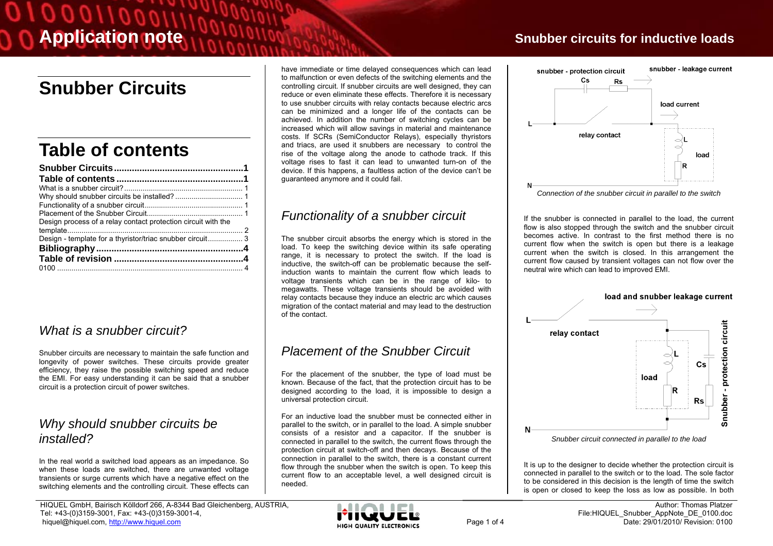# **Snubber Circuits**

# **Table of contents**

| Design process of a relay contact protection circuit with the |  |
|---------------------------------------------------------------|--|
|                                                               |  |
|                                                               |  |
|                                                               |  |
|                                                               |  |
|                                                               |  |

## *What is a snubber circuit?*

Snubber circuits are necessary to maintain the safe function and longevity of power switches. These circuits provide greater efficiency, they raise the possible switching speed and reduce the EMI. For easy understanding it can be said that a snubber circuit is a protection circuit of power switches.

#### *Why should snubber circuits be installed?*

In the real world a switched load appears as an impedance. So when these loads are switched, there are unwanted voltage transients or surge currents which have a negative effect on the switching elements and the controlling circuit. These effects can

HIQUEL GmbH, Bairisch Kölldorf 266, A-8344 Bad Gleichenberg, AUSTRIA, Tel: +43-(0)3159-3001, Fax: +43-(0)3159-3001-4, hiquel@hiquel.com, http://www.hiquel.com Page 1 of 4

have immediate or time delayed consequences which can lead to malfunction or even defects of the switching elements and the controlling circuit. If snubber circuits are well designed, they can reduce or even eliminate these effects. Therefore it is necessary to use snubber circuits with relay contacts because electric arcs can be minimized and a longer life of the contacts can be achieved. In addition the number of switching cycles can be increased which will allow savings in material and maintenance costs. If SCRs (SemiConductor Relays), especially thyristors and triacs, are used it snubbers are necessary to control the rise of the voltage along the anode to cathode track. If this voltage rises to fast it can lead to unwanted turn-on of the device. If this happens, a faultless action of the device can't be guaranteed anymore and it could fail.

## *Functionality of a snubber circuit*

The snubber circuit absorbs the energy which is stored in the load. To keep the switching device within its safe operating range, it is necessary to protect the switch. If the load is inductive, the switch-off can be problematic because the selfinduction wants to maintain the current flow which leads to voltage transients which can be in the range of kilo- to megawatts. These voltage transients should be avoided with relay contacts because they induce an electric arc which causes migration of the contact material and may lead to the destruction of the contact.

## *Placement of the Snubber Circuit*

For the placement of the snubber, the type of load must be known. Because of the fact, that the protection circuit has to be designed according to the load, it is impossible to design a universal protection circuit.

For an inductive load the snubber must be connected either in parallel to the switch, or in parallel to the load. A simple snubber consists of a resistor and a capacitor. If the snubber is connected in parallel to the switch, the current flows through the protection circuit at switch-off and then decays. Because of the connection in parallel to the switch, there is a constant current flow through the snubber when the switch is open. To keep this current flow to an acceptable level, a well designed circuit is needed.

## **Application note Snubber circuits for inductive loads Snubber circuits for inductive loads**





If the snubber is connected in parallel to the load, the current flow is also stopped through the switch and the snubber circuit becomes active. In contrast to the first method there is no current flow when the switch is open but there is a leakage current when the switch is closed. In this arrangement the current flow caused by transient voltages can not flow over the neutral wire which can lead to improved EMI.



*Snubber circuit connected in parallel to the load* 

It is up to the designer to decide whether the protection circuit is connected in parallel to the switch or to the load. The sole factor to be considered in this decision is the length of time the switch is open or closed to keep the loss as low as possible. In both

N.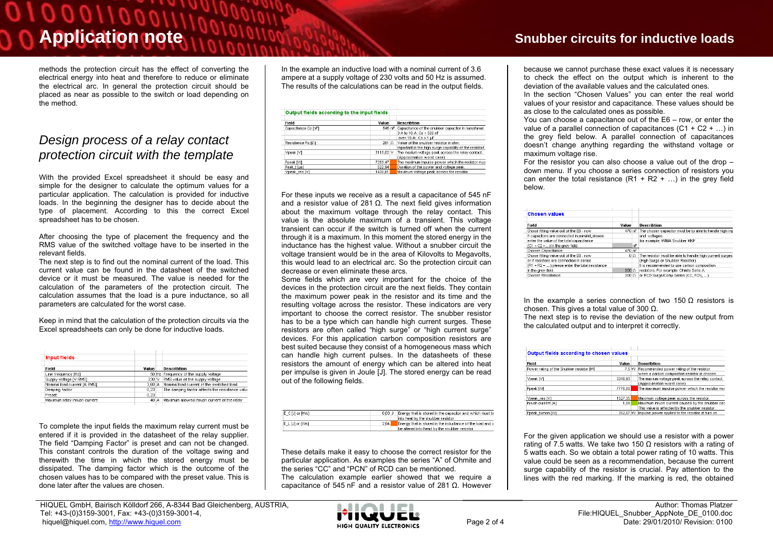# 00011000

methods the protection circuit has the effect of converting the electrical energy into heat and therefore to reduce or eliminate the electrical arc. In general the protection circuit should be placed as near as possible to the switch or load depending on the method.

#### *Design process of a relay contact protection circuit with the template*

With the provided Excel spreadsheet it should be easy and simple for the designer to calculate the optimum values for a particular application. The calculation is provided for inductive loads. In the beginning the designer has to decide about the type of placement. According to this the correct Excel spreadsheet has to be chosen.

After choosing the type of placement the frequency and the RMS value of the switched voltage have to be inserted in the relevant fields.

The next step is to find out the nominal current of the load. This current value can be found in the datasheet of the switched device or it must be measured. The value is needed for the calculation of the parameters of the protection circuit. The calculation assumes that the load is a pure inductance, so all parameters are calculated for the worst case.

Keep in mind that the calculation of the protection circuits via the Excel spreadsheets can only be done for inductive loads.

| <b>Input fields</b>          |        |   |                                                 |
|------------------------------|--------|---|-------------------------------------------------|
| Field                        | Value  |   | <b>Describtion</b>                              |
| Line frequency [Hz]          |        |   | 50 Hz Frequency of the supply voltage           |
| Supply voltage IV RMS1       | 230 V  |   | RMS value of the supply voltage                 |
| Nominal load current [A RMS] | 3.60 A |   | Nominal load current of the switched load       |
| Damping factor               | 0.23   |   | The damping factor affects the resistance value |
| Preset:                      | 0.23   |   |                                                 |
| Maximum relay inrush current | 40     | A | Maximum allowed inrush current of the relay     |

To complete the input fields the maximum relay current must be entered if it is provided in the datasheet of the relay supplier. The field "Damping Factor" is preset and can not be changed. This constant controls the duration of the voltage swing and therewith the time in which the stored energy must be dissipated. The damping factor which is the outcome of the chosen values has to be compared with the preset value. This is done later after the values are chosen.

In the example an inductive load with a nominal current of 3.6 ampere at a supply voltage of 230 volts and 50 Hz is assumed. The results of the calculations can be read in the output fields.

| Field               | Value     | Describtion                                               |
|---------------------|-----------|-----------------------------------------------------------|
| Capacitance Cs [nF] |           | 545 nF Capacitance of the snubber capacitor in nanofarad. |
|                     |           | 3 A to 10 A: Cs > 500 nF                                  |
|                     |           | over 10 A: Cs > 1 uF                                      |
| Resistance Rs [0]   | 281 O     | Value of the snubber resistor in ohm.                     |
|                     |           | Important is the high surge capability of the resistor!   |
| Vpeak [V]           | 3110,02 V | The maxium voltage peak across the relay contact.         |
|                     |           | (Approximation worst case)                                |
| Ppeak MVI           | 7283.47   | The maximum impulse power which the resistor mus-         |
| Peak tiusl          | 522.94    | Duration of the power and voltage peak.                   |
| Vpeak res IVI       | 1430.61   | Maximum voltage peak across the resistor.                 |

For these inputs we receive as a result a capacitance of 545 nF and a resistor value of 281 Ω. The next field gives information about the maximum voltage through the relay contact. This value is the absolute maximum of a transient. This voltage transient can occur if the switch is turned off when the current through it is a maximum. In this moment the stored energy in the inductance has the highest value. Without a snubber circuit the voltage transient would be in the area of Kilovolts to Megavolts, this would lead to an electrical arc. So the protection circuit can decrease or even eliminate these arcs.

Some fields which are very important for the choice of the devices in the protection circuit are the next fields. They contain the maximum power peak in the resistor and its time and the resulting voltage across the resistor. These indicators are very important to choose the correct resistor. The snubber resistor has to be a type which can handle high current surges. These resistors are often called "high surge" or "high current surge" devices. For this application carbon composition resistors are best suited because they consist of a homogeneous mass which can handle high current pulses. In the datasheets of these resistors the amount of energy which can be altered into heat per impulse is given in Joule [J]. The stored energy can be read out of the following fields.

| E C [J] or [Ws] | 0.03J | Energy that is stored in the capacitor and which must be         |
|-----------------|-------|------------------------------------------------------------------|
|                 |       | into heat by the snubber resistor                                |
| E L [J] or [Ws] | 2.64  | <b>Energy that is stored in the inductance of the load and v</b> |
|                 |       | be altered into head by the snubber resistor                     |

These details make it easy to choose the correct resistor for the particular application. As examples the series "A" of Ohmite and the series "CC" and "PCN" of RCD can be mentioned. The calculation example earlier showed that we require a capacitance of 545 nF and a resistor value of 281 Ω. However

# **Application note Snubber circuits for inductive loads**

because we cannot purchase these exact values it is necessary to check the effect on the output which is inherent to the deviation of the available values and the calculated ones.

In the section "Chosen Values" you can enter the real world values of your resistor and capacitance. These values should be as close to the calculated ones as possible.

You can choose a capacitance out of the E6 – row, or enter the value of a parallel connection of capacitances (C1 + C2 + …) in the grey field below. A parallel connection of capacitances doesn't change anything regarding the withstand voltage or maximum voltage rise.

For the resistor you can also choose a value out of the drop – down menu. If you choose a series connection of resistors you can enter the total resistance  $(R1 + R2 + ...)$  in the grey field below.

| <b>Chosen values</b>                            |                  |     |                                                                |
|-------------------------------------------------|------------------|-----|----------------------------------------------------------------|
| Field                                           | Value            |     | Describtion                                                    |
| Chose fitting value out of the E6 - row         |                  |     | 470 nF The chosen capacitor must be to able to handle high imp |
| If capacitors are connected in parallel, please |                  |     | and voltages.                                                  |
| enter the value of the total capacitance        |                  |     | for example: WIMA Snubber MKP                                  |
| $(C1 + C2 + )$ in the grey field.               |                  | nF  |                                                                |
| Chosen Capacitance:                             | 470 nF           |     |                                                                |
| Chose fitting value out of the E6 - row         |                  | 0Ω. | The resistor must be able to handle high current surges        |
| or if resistors are connected in series         |                  |     | (High Surge or Snubber Resistor)                               |
| (R1 + R2 + ) please enter the total resistance  |                  |     | It is recommended to use carbon composition                    |
| in the grey field.                              | 300 <sub>o</sub> |     | resistors. For example: Ohmite Serie: A                        |
| Chosen Resistance:                              | $300 \Omega$     |     | or RCD Surge/Comp Series (CC, PCN,  )                          |

In the example a series connection of two 150 Ω resistors is chosen. This gives a total value of 300  $Ω$ .

The next step is to revise the deviation of the new output from the calculated output and to interpret it correctly.

| Output fields according to chosen values  |          |                                                   |
|-------------------------------------------|----------|---------------------------------------------------|
| Field                                     | Value    | Describtion                                       |
| Power rating of the Snubber resistor IVVI | 7.5 W    | Recommended power rating of the resistor          |
|                                           |          | when a carbon composition resistor is chosen.     |
| Vpeak [V]                                 | 3348,93  | The maxium voltage peak across the relay contact. |
|                                           |          | (Approximation worst case)                        |
| Poeak MVI                                 | 7776.00  | The maximum impulse power which the resistor mus- |
| Vpeak res [V]                             | 1527,35  | Maximum voltage peak across the resistor.         |
| Inrush current [A]                        | 1,08     | Maximum inrush current caused by the snubber circ |
|                                           |          | This value is affected by the snubber resistor.   |
| Poeak turnon MVI                          | 352.67 W | Impulse power applied to the resistor at turn on  |

For the given application we should use a resistor with a power rating of 7.5 watts. We take two 150 Ω resistors with a rating of 5 watts each. So we obtain a total power rating of 10 watts. This value could be seen as a recommendation, because the current surge capability of the resistor is crucial. Pay attention to the lines with the red marking. If the marking is red, the obtained

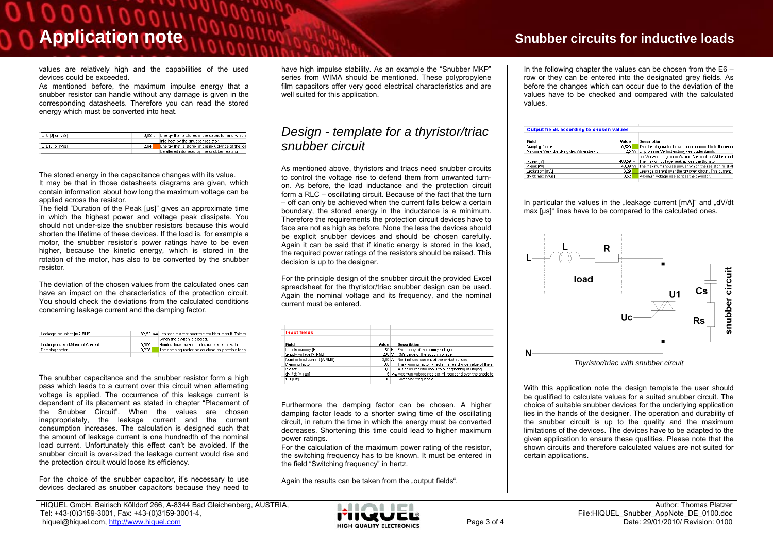$011000$ 

values are relatively high and the capabilities of the used devices could be exceeded.

As mentioned before, the maximum impulse energy that a snubber resistor can handle without any damage is given in the corresponding datasheets. Therefore you can read the stored energy which must be converted into heat.

| E C [J] or [Ws] | 0.02 J | Energy that is stored in the capacitor and which   |
|-----------------|--------|----------------------------------------------------|
|                 |        | into heat by the snubber resistor                  |
| E_L [J] or [Ws] | 2.64   | Energy that is stored in the inductance of the los |
|                 |        | be altered into head by the snubber resistor       |

The stored energy in the capacitance changes with its value. It may be that in those datasheets diagrams are given, which contain information about how long the maximum voltage can be

applied across the resistor. The field "Duration of the Peak [µs]" gives an approximate time in which the highest power and voltage peak dissipate. You should not under-size the snubber resistors because this would

 shorten the lifetime of these devices. If the load is, for example a motor, the snubber resistor's power ratings have to be even higher, because the kinetic energy, which is stored in the rotation of the motor, has also to be converted by the snubber resistor.

The deviation of the chosen values from the calculated ones can have an impact on the characteristics of the protection circuit. You should check the deviations from the calculated conditions concerning leakage current and the damping factor.

| Leakage snubber [mA RMS]        |       | 32,52 mA Leakage current over the snubber circuit. This ct |
|---------------------------------|-------|------------------------------------------------------------|
|                                 |       | when the switch is closed.                                 |
| Leakage current/Nominal Current | 0.009 | Nominal load current to leakage current ratio              |
| Damping factor                  | 0.228 | The damping factor be as close as possible to th           |
|                                 |       |                                                            |

The snubber capacitance and the snubber resistor form a high pass which leads to a current over this circuit when alternating voltage is applied. The occurrence of this leakage current is dependent of its placement as stated in chapter "Placement of the Snubber Circuit". When the values are chosen inappropriately, the leakage current and the current consumption increases. The calculation is designed such that the amount of leakage current is one hundredth of the nominal load current. Unfortunately this effect can't be avoided. If the snubber circuit is over-sized the leakage current would rise and the protection circuit would loose its efficiency.

For the choice of the snubber capacitor, it's necessary to use devices declared as snubber capacitors because they need to have high impulse stability. As an example the "Snubber MKP" series from WIMA should be mentioned. These polypropylene film capacitors offer very good electrical characteristics and are well suited for this application.

#### *Design - template for a thyristor/triac snubber circuit*

As mentioned above, thyristors and triacs need snubber circuits to control the voltage rise to defend them from unwanted turnon. As before, the load inductance and the protection circuit form a RLC – oscillating circuit. Because of the fact that the turn – off can only be achieved when the current falls below a certain boundary, the stored energy in the inductance is a minimum. Therefore the requirements the protection circuit devices have to face are not as high as before. None the less the devices should be explicit snubber devices and should be chosen carefully. Again it can be said that if kinetic energy is stored in the load, the required power ratings of the resistors should be raised. This decision is up to the designer.

For the principle design of the snubber circuit the provided Excel spreadsheet for the thyristor/triac snubber design can be used. Again the nominal voltage and its frequency, and the nominal current must be entered.

| <b>Input fields</b>          |        |                                                              |
|------------------------------|--------|--------------------------------------------------------------|
| Field                        | Value  | <b>Describtion</b>                                           |
| Line frequency [Hz]          |        | 50 Hz Frequency of the supply voltage                        |
| Supply voltage [V RMS]       | 230 V  | RMS value of the supply voltage                              |
| Nominal load current [A RMS] | 3.60 A | Nominal load current of the switched load                    |
| Damping factor               | 0,6    | The damping factor affects the resistance value of the sr    |
| Preset:                      | 0.6    | A smaller resistor leads to a lengthening of ringing.        |
| dV / dt IV / usl             |        | 5 www.Maximum voltage rise per mikrosecond over the anode to |
| $f \simeq [Hz]$              | 100    | Switching frequency                                          |

Furthermore the damping factor can be chosen. A higher damping factor leads to a shorter swing time of the oscillating circuit, in return the time in which the energy must be converted decreases. Shortening this time could lead to higher maximum power ratings.

For the calculation of the maximum power rating of the resistor, the switching frequency has to be known. It must be entered in the field "Switching frequency" in hertz.

Again the results can be taken from the "output fields".

# **Application note Snubber circuits for inductive loads Snubber circuits for inductive loads**

In the following chapter the values can be chosen from the  $E6$ row or they can be entered into the designated grey fields. As before the changes which can occur due to the deviation of the values have to be checked and compared with the calculated values.

| Output fields according to chosen values |          |                                                           |
|------------------------------------------|----------|-----------------------------------------------------------|
| <b>Field</b>                             | Value    | <b>Describtion</b>                                        |
| Damping factor                           | 0,529    | The damping factor be as close as possible to the prese   |
| Maximale Verlustleistung des Widerstands | 2.5 W    | Empfohlene Verlustleistung des Widerstands                |
|                                          |          | bei Verwendung eines Carbon Composition Widerstand:       |
| Vpeak IVI                                | 406.59 V | The maxium voltage peak across the thyristor              |
| Ppeak [VV]                               | 48,09 W  | The maximum impulse power which the resistor must all     |
| Leckstrom [mA]                           | 3.29     | Leakage current over the snubber circuit. This current is |
| dV/dt max [V/us]                         | 3.52     | Maximum voltage rise across the thyristor.                |

In particular the values in the "leakage current ImA1" and "dV/dt max [µs]" lines have to be compared to the calculated ones.



With this application note the design template the user should be qualified to calculate values for a suited snubber circuit. The choice of suitable snubber devices for the underlying application lies in the hands of the designer. The operation and durability of the snubber circuit is up to the quality and the maximum limitations of the devices. The devices have to be adapted to the given application to ensure these qualities. Please note that the shown circuits and therefore calculated values are not suited for certain applications.